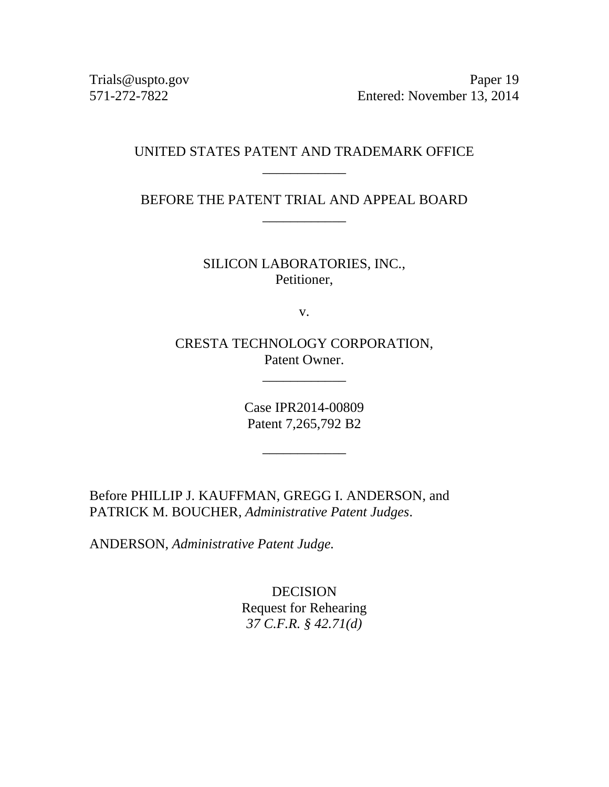Trials@uspto.gov Paper 19 571-272-7822 Entered: November 13, 2014

# UNITED STATES PATENT AND TRADEMARK OFFICE \_\_\_\_\_\_\_\_\_\_\_\_

BEFORE THE PATENT TRIAL AND APPEAL BOARD \_\_\_\_\_\_\_\_\_\_\_\_

> SILICON LABORATORIES, INC., Petitioner,

> > v.

CRESTA TECHNOLOGY CORPORATION, Patent Owner.

\_\_\_\_\_\_\_\_\_\_\_\_

Case IPR2014-00809 Patent 7,265,792 B2

\_\_\_\_\_\_\_\_\_\_\_\_

Before PHILLIP J. KAUFFMAN, GREGG I. ANDERSON, and PATRICK M. BOUCHER, *Administrative Patent Judges*.

ANDERSON, *Administrative Patent Judge.*

DECISION Request for Rehearing *37 C.F.R. § 42.71(d)*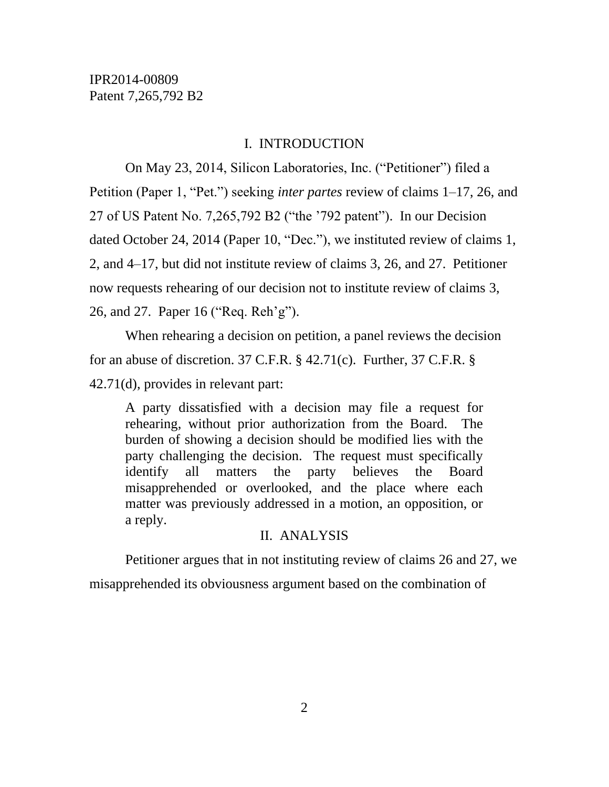#### I. INTRODUCTION

On May 23, 2014, Silicon Laboratories, Inc. ("Petitioner") filed a Petition (Paper 1, "Pet.") seeking *inter partes* review of claims 1–17, 26, and 27 of US Patent No. 7,265,792 B2 ("the '792 patent"). In our Decision dated October 24, 2014 (Paper 10, "Dec."), we instituted review of claims 1, 2, and 4–17, but did not institute review of claims 3, 26, and 27. Petitioner now requests rehearing of our decision not to institute review of claims 3, 26, and 27. Paper 16 ("Req. Reh'g").

When rehearing a decision on petition, a panel reviews the decision for an abuse of discretion. 37 C.F.R. § 42.71(c). Further, 37 C.F.R. § 42.71(d), provides in relevant part:

A party dissatisfied with a decision may file a request for rehearing, without prior authorization from the Board. The burden of showing a decision should be modified lies with the party challenging the decision. The request must specifically identify all matters the party believes the Board misapprehended or overlooked, and the place where each matter was previously addressed in a motion, an opposition, or a reply.

#### II. ANALYSIS

Petitioner argues that in not instituting review of claims 26 and 27, we misapprehended its obviousness argument based on the combination of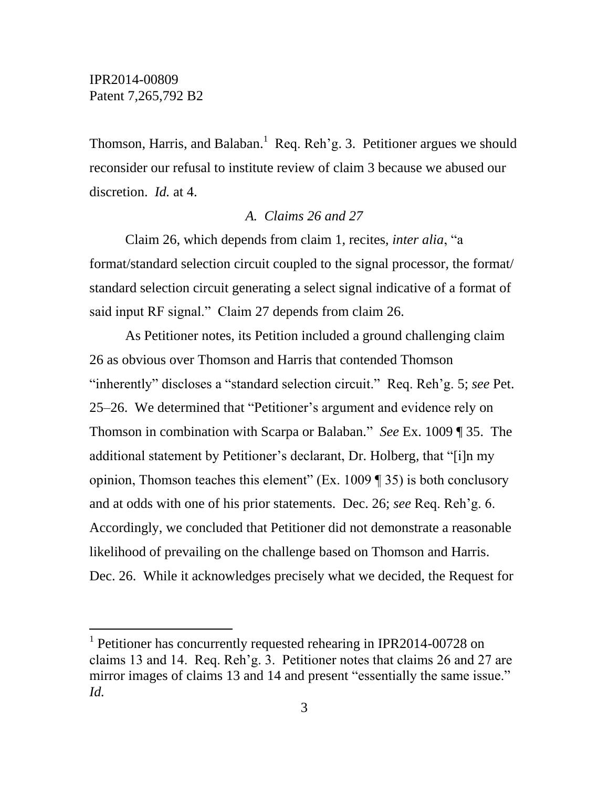l

Thomson, Harris, and Balaban.<sup>1</sup> Req. Reh'g. 3. Petitioner argues we should reconsider our refusal to institute review of claim 3 because we abused our discretion. *Id.* at 4.

# *A. Claims 26 and 27*

Claim 26, which depends from claim 1, recites, *inter alia*, "a format/standard selection circuit coupled to the signal processor, the format/ standard selection circuit generating a select signal indicative of a format of said input RF signal." Claim 27 depends from claim 26.

As Petitioner notes, its Petition included a ground challenging claim 26 as obvious over Thomson and Harris that contended Thomson "inherently" discloses a "standard selection circuit." Req. Reh'g. 5; *see* Pet. 25–26. We determined that "Petitioner's argument and evidence rely on Thomson in combination with Scarpa or Balaban." *See* Ex. 1009 ¶ 35. The additional statement by Petitioner's declarant, Dr. Holberg, that "[i]n my opinion, Thomson teaches this element" (Ex. 1009  $\P$  35) is both conclusory and at odds with one of his prior statements. Dec. 26; *see* Req. Reh'g. 6. Accordingly, we concluded that Petitioner did not demonstrate a reasonable likelihood of prevailing on the challenge based on Thomson and Harris. Dec. 26. While it acknowledges precisely what we decided, the Request for

<sup>&</sup>lt;sup>1</sup> Petitioner has concurrently requested rehearing in IPR2014-00728 on claims 13 and 14. Req. Reh'g. 3. Petitioner notes that claims 26 and 27 are mirror images of claims 13 and 14 and present "essentially the same issue." *Id.*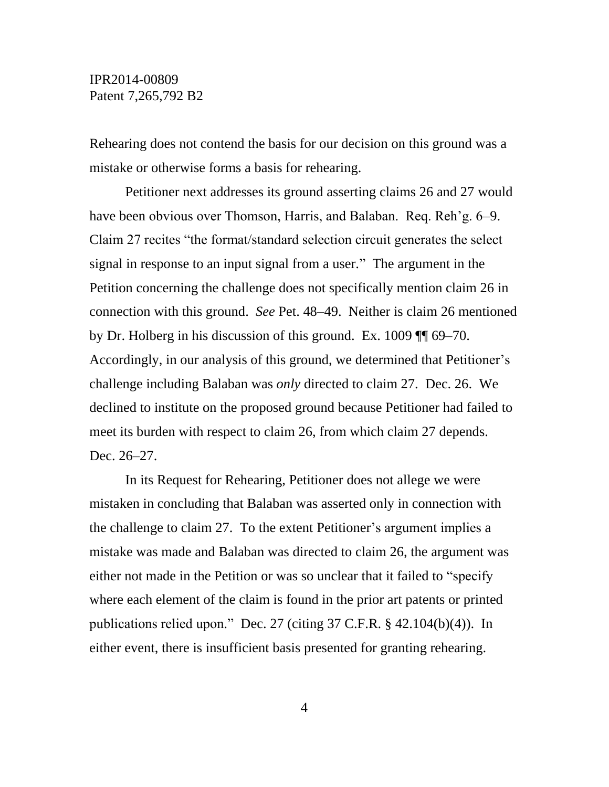## IPR2014-00809 Patent 7,265,792 B2

Rehearing does not contend the basis for our decision on this ground was a mistake or otherwise forms a basis for rehearing.

Petitioner next addresses its ground asserting claims 26 and 27 would have been obvious over Thomson, Harris, and Balaban. Req. Reh'g. 6–9. Claim 27 recites "the format/standard selection circuit generates the select signal in response to an input signal from a user." The argument in the Petition concerning the challenge does not specifically mention claim 26 in connection with this ground. *See* Pet. 48–49. Neither is claim 26 mentioned by Dr. Holberg in his discussion of this ground. Ex. 1009 ¶¶ 69–70. Accordingly, in our analysis of this ground, we determined that Petitioner's challenge including Balaban was *only* directed to claim 27. Dec. 26. We declined to institute on the proposed ground because Petitioner had failed to meet its burden with respect to claim 26, from which claim 27 depends. Dec. 26–27.

In its Request for Rehearing, Petitioner does not allege we were mistaken in concluding that Balaban was asserted only in connection with the challenge to claim 27. To the extent Petitioner's argument implies a mistake was made and Balaban was directed to claim 26, the argument was either not made in the Petition or was so unclear that it failed to "specify where each element of the claim is found in the prior art patents or printed publications relied upon." Dec. 27 (citing 37 C.F.R. § 42.104(b)(4)). In either event, there is insufficient basis presented for granting rehearing.

4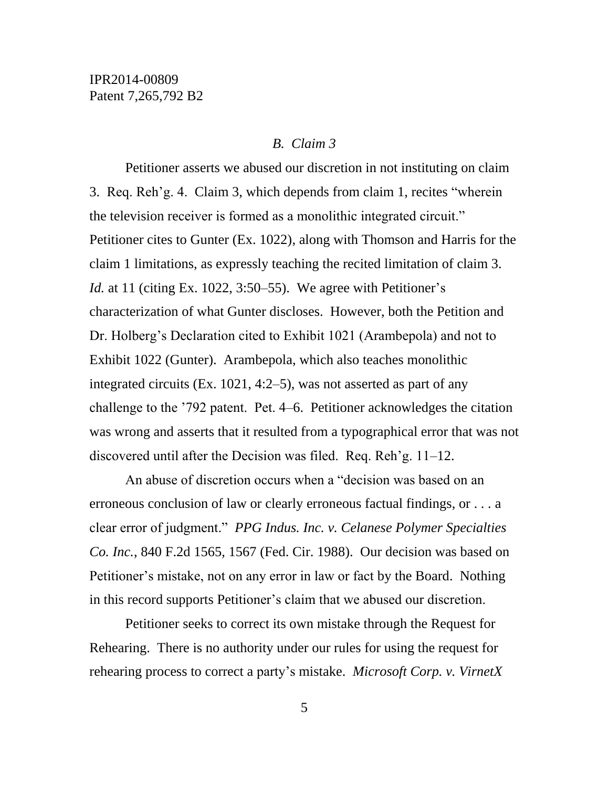#### *B. Claim 3*

Petitioner asserts we abused our discretion in not instituting on claim 3. Req. Reh'g. 4. Claim 3, which depends from claim 1, recites "wherein the television receiver is formed as a monolithic integrated circuit." Petitioner cites to Gunter (Ex. 1022), along with Thomson and Harris for the claim 1 limitations, as expressly teaching the recited limitation of claim 3. *Id.* at 11 (citing Ex. 1022, 3:50–55). We agree with Petitioner's characterization of what Gunter discloses. However, both the Petition and Dr. Holberg's Declaration cited to Exhibit 1021 (Arambepola) and not to Exhibit 1022 (Gunter). Arambepola, which also teaches monolithic integrated circuits (Ex. 1021, 4:2–5), was not asserted as part of any challenge to the '792 patent. Pet. 4–6. Petitioner acknowledges the citation was wrong and asserts that it resulted from a typographical error that was not discovered until after the Decision was filed. Req. Reh'g. 11–12.

An abuse of discretion occurs when a "decision was based on an erroneous conclusion of law or clearly erroneous factual findings, or . . . a clear error of judgment." *PPG Indus. Inc. v. Celanese Polymer Specialties Co. Inc.*, 840 F.2d 1565, 1567 (Fed. Cir. 1988). Our decision was based on Petitioner's mistake, not on any error in law or fact by the Board. Nothing in this record supports Petitioner's claim that we abused our discretion.

Petitioner seeks to correct its own mistake through the Request for Rehearing. There is no authority under our rules for using the request for rehearing process to correct a party's mistake. *Microsoft Corp. v. VirnetX*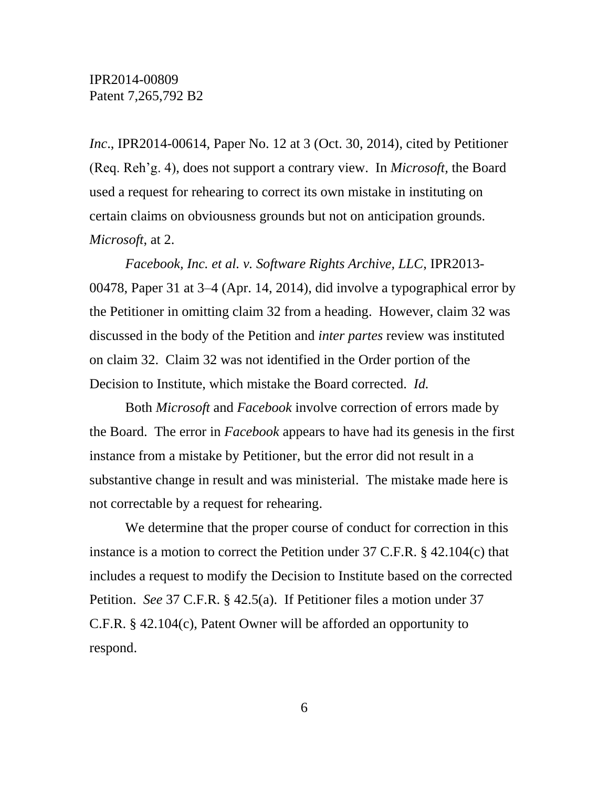*Inc*., IPR2014-00614, Paper No. 12 at 3 (Oct. 30, 2014), cited by Petitioner (Req. Reh'g. 4), does not support a contrary view. In *Microsoft,* the Board used a request for rehearing to correct its own mistake in instituting on certain claims on obviousness grounds but not on anticipation grounds. *Microsoft*, at 2.

*Facebook, Inc. et al. v. Software Rights Archive, LLC*, IPR2013- 00478, Paper 31 at 3–4 (Apr. 14, 2014), did involve a typographical error by the Petitioner in omitting claim 32 from a heading. However, claim 32 was discussed in the body of the Petition and *inter partes* review was instituted on claim 32. Claim 32 was not identified in the Order portion of the Decision to Institute, which mistake the Board corrected. *Id.*

Both *Microsoft* and *Facebook* involve correction of errors made by the Board. The error in *Facebook* appears to have had its genesis in the first instance from a mistake by Petitioner, but the error did not result in a substantive change in result and was ministerial. The mistake made here is not correctable by a request for rehearing.

We determine that the proper course of conduct for correction in this instance is a motion to correct the Petition under 37 C.F.R. § 42.104(c) that includes a request to modify the Decision to Institute based on the corrected Petition. *See* 37 C.F.R. § 42.5(a). If Petitioner files a motion under 37 C.F.R. § 42.104(c), Patent Owner will be afforded an opportunity to respond.

6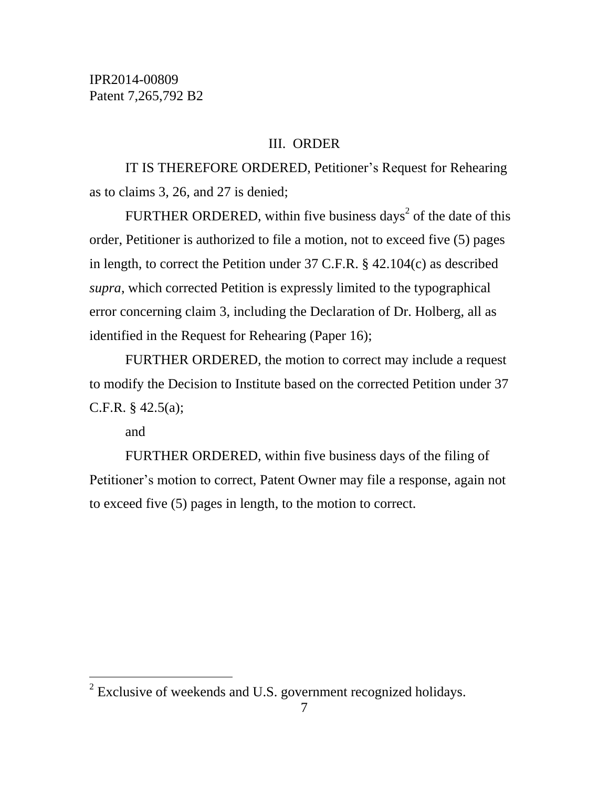## III. ORDER

IT IS THEREFORE ORDERED, Petitioner's Request for Rehearing as to claims 3, 26, and 27 is denied;

FURTHER ORDERED, within five business days<sup>2</sup> of the date of this order, Petitioner is authorized to file a motion, not to exceed five (5) pages in length, to correct the Petition under 37 C.F.R. § 42.104(c) as described *supra*, which corrected Petition is expressly limited to the typographical error concerning claim 3, including the Declaration of Dr. Holberg, all as identified in the Request for Rehearing (Paper 16);

FURTHER ORDERED, the motion to correct may include a request to modify the Decision to Institute based on the corrected Petition under 37 C.F.R.  $§$  42.5(a);

and

 $\overline{a}$ 

FURTHER ORDERED, within five business days of the filing of Petitioner's motion to correct, Patent Owner may file a response, again not to exceed five (5) pages in length, to the motion to correct.

 $2^{2}$  Exclusive of weekends and U.S. government recognized holidays.